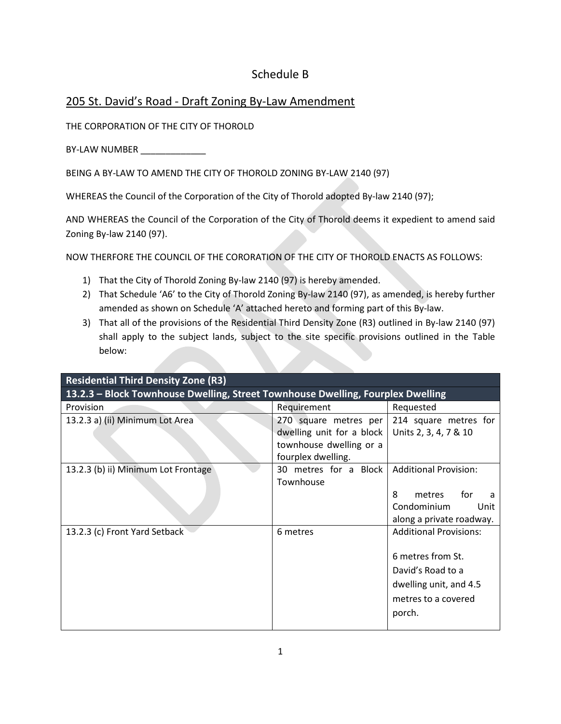## Schedule B

## 205 St. David's Road - Draft Zoning By-Law Amendment

THE CORPORATION OF THE CITY OF THOROLD

BY-LAW NUMBER \_\_\_\_\_\_\_\_\_\_\_\_

BEING A BY-LAW TO AMEND THE CITY OF THOROLD ZONING BY-LAW 2140 (97)

WHEREAS the Council of the Corporation of the City of Thorold adopted By-law 2140 (97);

AND WHEREAS the Council of the Corporation of the City of Thorold deems it expedient to amend said Zoning By-law 2140 (97).

NOW THERFORE THE COUNCIL OF THE CORORATION OF THE CITY OF THOROLD ENACTS AS FOLLOWS:

- 1) That the City of Thorold Zoning By-law 2140 (97) is hereby amended.
- 2) That Schedule 'A6' to the City of Thorold Zoning By-law 2140 (97), as amended, is hereby further amended as shown on Schedule 'A' attached hereto and forming part of this By-law.
- 3) That all of the provisions of the Residential Third Density Zone (R3) outlined in By-law 2140 (97) shall apply to the subject lands, subject to the site specific provisions outlined in the Table below:

| <b>Residential Third Density Zone (R3)</b>                                      |                                                                                                                                                   |                                                                                                                                    |  |  |
|---------------------------------------------------------------------------------|---------------------------------------------------------------------------------------------------------------------------------------------------|------------------------------------------------------------------------------------------------------------------------------------|--|--|
| 13.2.3 - Block Townhouse Dwelling, Street Townhouse Dwelling, Fourplex Dwelling |                                                                                                                                                   |                                                                                                                                    |  |  |
| Provision                                                                       | Requirement                                                                                                                                       | Requested                                                                                                                          |  |  |
| 13.2.3 a) (ii) Minimum Lot Area                                                 | 270 square metres per 214 square metres for<br>dwelling unit for a block   Units 2, 3, 4, 7 & 10<br>townhouse dwelling or a<br>fourplex dwelling. |                                                                                                                                    |  |  |
| 13.2.3 (b) ii) Minimum Lot Frontage                                             | 30 metres for a Block<br>Townhouse                                                                                                                | <b>Additional Provision:</b><br>8<br>for<br>metres<br>a<br>Condominium<br>Unit<br>along a private roadway.                         |  |  |
| 13.2.3 (c) Front Yard Setback                                                   | 6 metres                                                                                                                                          | <b>Additional Provisions:</b><br>6 metres from St.<br>David's Road to a<br>dwelling unit, and 4.5<br>metres to a covered<br>porch. |  |  |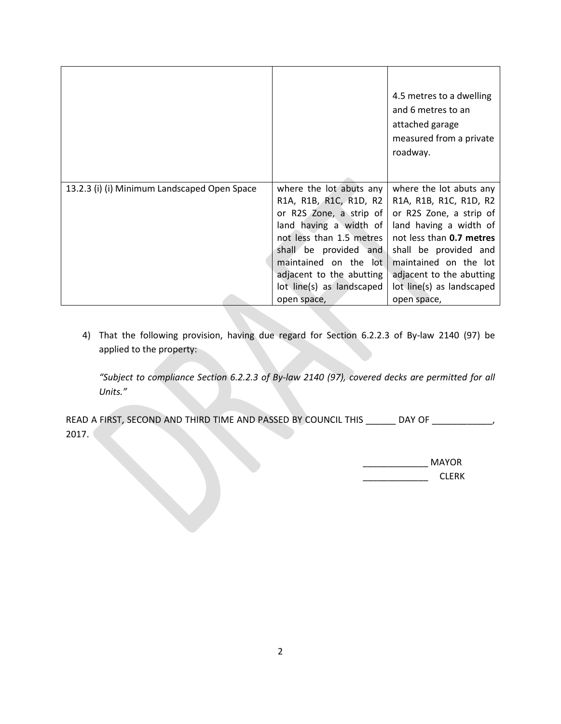|                                              |                                                   | 4.5 metres to a dwelling<br>and 6 metres to an<br>attached garage<br>measured from a private<br>roadway. |
|----------------------------------------------|---------------------------------------------------|----------------------------------------------------------------------------------------------------------|
| 13.2.3 (i) (i) Minimum Landscaped Open Space | where the lot abuts any<br>R1A, R1B, R1C, R1D, R2 | where the lot abuts any<br>R1A, R1B, R1C, R1D, R2                                                        |
|                                              | or R2S Zone, a strip of                           | or R2S Zone, a strip of                                                                                  |
|                                              | land having a width of                            | land having a width of                                                                                   |
|                                              | not less than 1.5 metres                          | not less than 0.7 metres                                                                                 |
|                                              | shall be provided and                             | shall be provided and                                                                                    |
|                                              | maintained on the lot                             | maintained on the lot                                                                                    |
|                                              | adjacent to the abutting                          | adjacent to the abutting                                                                                 |
|                                              | lot line(s) as landscaped                         | lot line(s) as landscaped                                                                                |
|                                              | open space,                                       | open space,                                                                                              |

4) That the following provision, having due regard for Section 6.2.2.3 of By-law 2140 (97) be applied to the property:

*"Subject to compliance Section 6.2.2.3 of By-law 2140 (97), covered decks are permitted for all Units."*

READ A FIRST, SECOND AND THIRD TIME AND PASSED BY COUNCIL THIS \_\_\_\_\_\_\_ DAY OF \_\_\_\_\_\_\_\_\_\_\_\_\_ 2017.

| <b>MAYOR</b> |  |
|--------------|--|
| <b>CLERK</b> |  |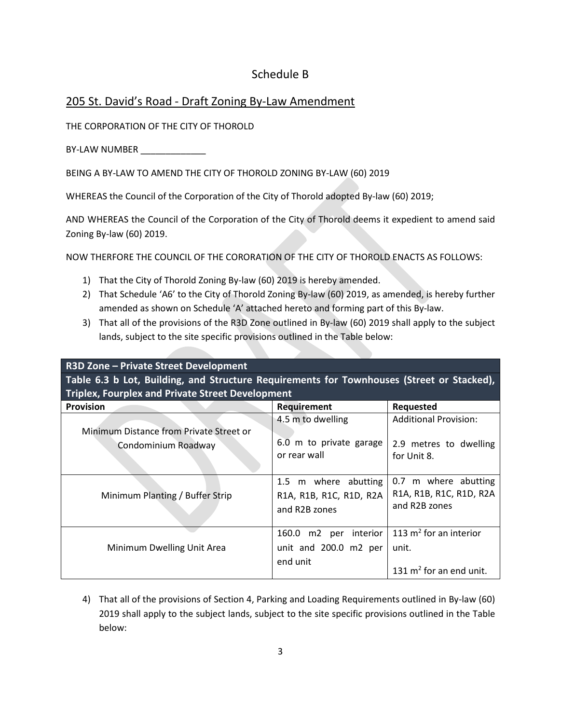## Schedule B

## 205 St. David's Road - Draft Zoning By-Law Amendment

THE CORPORATION OF THE CITY OF THOROLD

BY-LAW NUMBER

BEING A BY-LAW TO AMEND THE CITY OF THOROLD ZONING BY-LAW (60) 2019

WHEREAS the Council of the Corporation of the City of Thorold adopted By-law (60) 2019;

AND WHEREAS the Council of the Corporation of the City of Thorold deems it expedient to amend said Zoning By-law (60) 2019.

NOW THERFORE THE COUNCIL OF THE CORORATION OF THE CITY OF THOROLD ENACTS AS FOLLOWS:

- 1) That the City of Thorold Zoning By-law (60) 2019 is hereby amended.
- 2) That Schedule 'A6' to the City of Thorold Zoning By-law (60) 2019, as amended, is hereby further amended as shown on Schedule 'A' attached hereto and forming part of this By-law.
- 3) That all of the provisions of the R3D Zone outlined in By-law (60) 2019 shall apply to the subject lands, subject to the site specific provisions outlined in the Table below:

**R3D Zone – Private Street Development Table 6.3 b Lot, Building, and Structure Requirements for Townhouses (Street or Stacked), Triplex, Fourplex and Private Street Development** 

| <b>Provision</b>                                               | <b>Requirement</b>                                               | Requested                                                        |
|----------------------------------------------------------------|------------------------------------------------------------------|------------------------------------------------------------------|
|                                                                | 4.5 m to dwelling                                                | <b>Additional Provision:</b>                                     |
| Minimum Distance from Private Street or<br>Condominium Roadway | 6.0 m to private garage<br>or rear wall                          | 2.9 metres to dwelling<br>for Unit 8.                            |
| Minimum Planting / Buffer Strip                                | 1.5 m where abutting<br>R1A, R1B, R1C, R1D, R2A<br>and R2B zones | 0.7 m where abutting<br>R1A, R1B, R1C, R1D, R2A<br>and R2B zones |
| Minimum Dwelling Unit Area                                     | m2 per interior<br>160.0<br>unit and 200.0 m2 per<br>end unit    | 113 $m^2$ for an interior<br>unit.<br>131 $m^2$ for an end unit. |

4) That all of the provisions of Section 4, Parking and Loading Requirements outlined in By-law (60) 2019 shall apply to the subject lands, subject to the site specific provisions outlined in the Table below: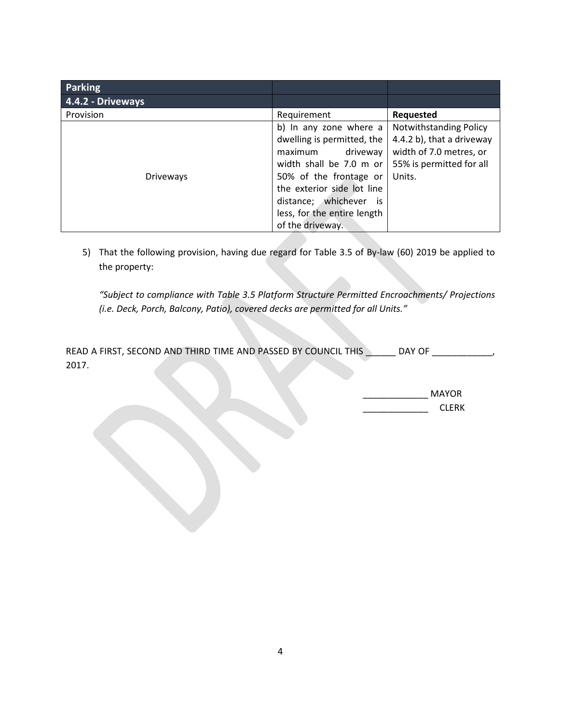| <b>Parking</b>    |                                                                                                                                                                                                                                                |                                                                                                                      |
|-------------------|------------------------------------------------------------------------------------------------------------------------------------------------------------------------------------------------------------------------------------------------|----------------------------------------------------------------------------------------------------------------------|
| 4.4.2 - Driveways |                                                                                                                                                                                                                                                |                                                                                                                      |
| Provision         | Requirement                                                                                                                                                                                                                                    | Requested                                                                                                            |
| <b>Driveways</b>  | b) In any zone where a<br>dwelling is permitted, the<br>driveway<br>maximum<br>width shall be 7.0 m or<br>50% of the frontage or<br>the exterior side lot line<br>distance; whichever<br>İS<br>less, for the entire length<br>of the driveway. | Notwithstanding Policy<br>4.4.2 b), that a driveway<br>width of 7.0 metres, or<br>55% is permitted for all<br>Units. |

5) That the following provision, having due regard for Table 3.5 of By-law (60) 2019 be applied to the property:

*"Subject to compliance with Table 3.5 Platform Structure Permitted Encroachments/ Projections (i.e. Deck, Porch, Balcony, Patio), covered decks are permitted for all Units."* 

| READ A FIRST, SECOND AND THIRD TIME AND PASSED BY COUNCIL THIS |  |  | DAY OF |  |
|----------------------------------------------------------------|--|--|--------|--|
| 2017                                                           |  |  |        |  |

| MAYOR        |  |
|--------------|--|
| <b>CLERK</b> |  |